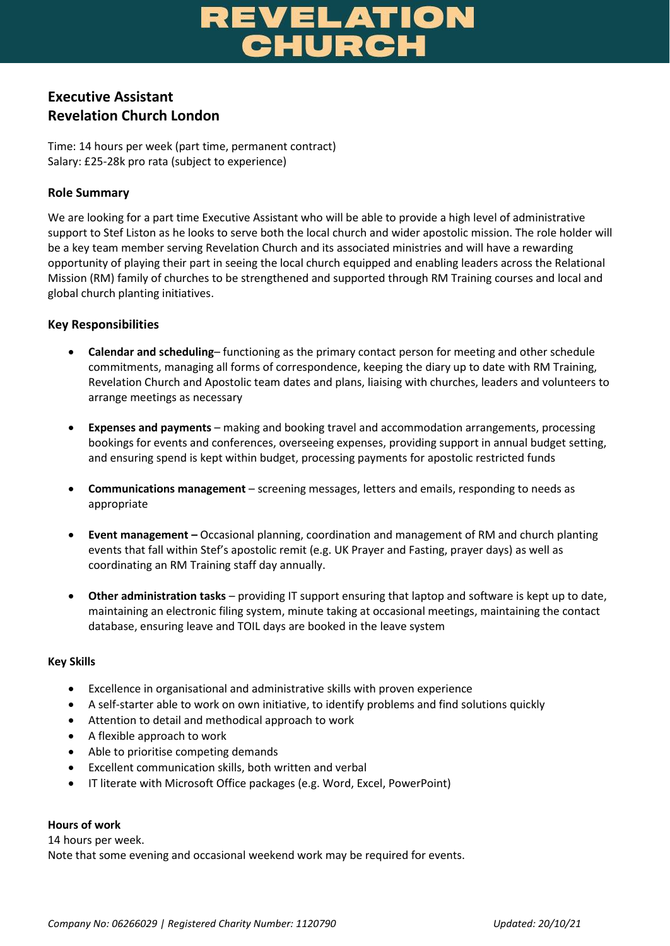# **REVELATION<br>CHURCH**

# **Executive Assistant Revelation Church London**

Time: 14 hours per week (part time, permanent contract) Salary: £25-28k pro rata (subject to experience)

# **Role Summary**

We are looking for a part time Executive Assistant who will be able to provide a high level of administrative support to Stef Liston as he looks to serve both the local church and wider apostolic mission. The role holder will be a key team member serving Revelation Church and its associated ministries and will have a rewarding opportunity of playing their part in seeing the local church equipped and enabling leaders across the Relational Mission (RM) family of churches to be strengthened and supported through RM Training courses and local and global church planting initiatives.

# **Key Responsibilities**

- **Calendar and scheduling** functioning as the primary contact person for meeting and other schedule commitments, managing all forms of correspondence, keeping the diary up to date with RM Training, Revelation Church and Apostolic team dates and plans, liaising with churches, leaders and volunteers to arrange meetings as necessary
- **Expenses and payments** making and booking travel and accommodation arrangements, processing bookings for events and conferences, overseeing expenses, providing support in annual budget setting, and ensuring spend is kept within budget, processing payments for apostolic restricted funds
- **Communications management** screening messages, letters and emails, responding to needs as appropriate
- **Event management –** Occasional planning, coordination and management of RM and church planting events that fall within Stef's apostolic remit (e.g. UK Prayer and Fasting, prayer days) as well as coordinating an RM Training staff day annually.
- **Other administration tasks** providing IT support ensuring that laptop and software is kept up to date, maintaining an electronic filing system, minute taking at occasional meetings, maintaining the contact database, ensuring leave and TOIL days are booked in the leave system

### **Key Skills**

- Excellence in organisational and administrative skills with proven experience
- A self-starter able to work on own initiative, to identify problems and find solutions quickly
- Attention to detail and methodical approach to work
- A flexible approach to work
- Able to prioritise competing demands
- Excellent communication skills, both written and verbal
- IT literate with Microsoft Office packages (e.g. Word, Excel, PowerPoint)

#### **Hours of work**

14 hours per week. Note that some evening and occasional weekend work may be required for events.